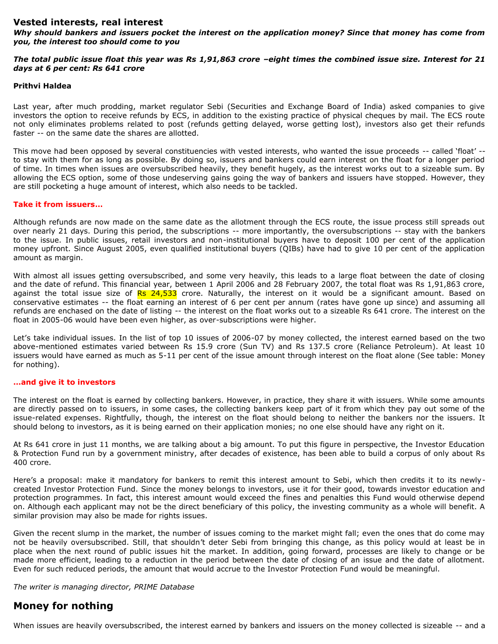## **Vested interests, real interest**

*Why should bankers and issuers pocket the interest on the application money? Since that money has come from you, the interest too should come to you*

#### *The total public issue float this year was Rs 1,91,863 crore –eight times the combined issue size. Interest for 21 days at 6 per cent: Rs 641 crore*

#### **Prithvi Haldea**

Last year, after much prodding, market regulator Sebi (Securities and Exchange Board of India) asked companies to give investors the option to receive refunds by ECS, in addition to the existing practice of physical cheques by mail. The ECS route not only eliminates problems related to post (refunds getting delayed, worse getting lost), investors also get their refunds faster -- on the same date the shares are allotted.

This move had been opposed by several constituencies with vested interests, who wanted the issue proceeds -- called 'float' - to stay with them for as long as possible. By doing so, issuers and bankers could earn interest on the float for a longer period of time. In times when issues are oversubscribed heavily, they benefit hugely, as the interest works out to a sizeable sum. By allowing the ECS option, some of those undeserving gains going the way of bankers and issuers have stopped. However, they are still pocketing a huge amount of interest, which also needs to be tackled.

## **Take it from issuers…**

Although refunds are now made on the same date as the allotment through the ECS route, the issue process still spreads out over nearly 21 days. During this period, the subscriptions -- more importantly, the oversubscriptions -- stay with the bankers to the issue. In public issues, retail investors and non-institutional buyers have to deposit 100 per cent of the application money upfront. Since August 2005, even qualified institutional buyers (QIBs) have had to give 10 per cent of the application amount as margin.

With almost all issues getting oversubscribed, and some very heavily, this leads to a large float between the date of closing and the date of refund. This financial year, between 1 April 2006 and 28 February 2007, the total float was Rs 1,91,863 crore, against the total issue size of Rs 24,533 crore. Naturally, the interest on it would be a significant amount. Based on conservative estimates -- the float earning an interest of 6 per cent per annum (rates have gone up since) and assuming all refunds are enchased on the date of listing -- the interest on the float works out to a sizeable Rs 641 crore. The interest on the float in 2005-06 would have been even higher, as over-subscriptions were higher.

Let's take individual issues. In the list of top 10 issues of 2006-07 by money collected, the interest earned based on the two above-mentioned estimates varied between Rs 15.9 crore (Sun TV) and Rs 137.5 crore (Reliance Petroleum). At least 10 issuers would have earned as much as 5-11 per cent of the issue amount through interest on the float alone (See table: Money for nothing).

# **…and give it to investors**

The interest on the float is earned by collecting bankers. However, in practice, they share it with issuers. While some amounts are directly passed on to issuers, in some cases, the collecting bankers keep part of it from which they pay out some of the issue-related expenses. Rightfully, though, the interest on the float should belong to neither the bankers nor the issuers. It should belong to investors, as it is being earned on their application monies; no one else should have any right on it.

At Rs 641 crore in just 11 months, we are talking about a big amount. To put this figure in perspective, the Investor Education & Protection Fund run by a government ministry, after decades of existence, has been able to build a corpus of only about Rs 400 crore.

Here's a proposal: make it mandatory for bankers to remit this interest amount to Sebi, which then credits it to its newlycreated Investor Protection Fund. Since the money belongs to investors, use it for their good, towards investor education and protection programmes. In fact, this interest amount would exceed the fines and penalties this Fund would otherwise depend on. Although each applicant may not be the direct beneficiary of this policy, the investing community as a whole will benefit. A similar provision may also be made for rights issues.

Given the recent slump in the market, the number of issues coming to the market might fall; even the ones that do come may not be heavily oversubscribed. Still, that shouldn't deter Sebi from bringing this change, as this policy would at least be in place when the next round of public issues hit the market. In addition, going forward, processes are likely to change or be made more efficient, leading to a reduction in the period between the date of closing of an issue and the date of allotment. Even for such reduced periods, the amount that would accrue to the Investor Protection Fund would be meaningful.

#### *The writer is managing director, PRIME Database*

# **Money for nothing**

When issues are heavily oversubscribed, the interest earned by bankers and issuers on the money collected is sizeable -- and a